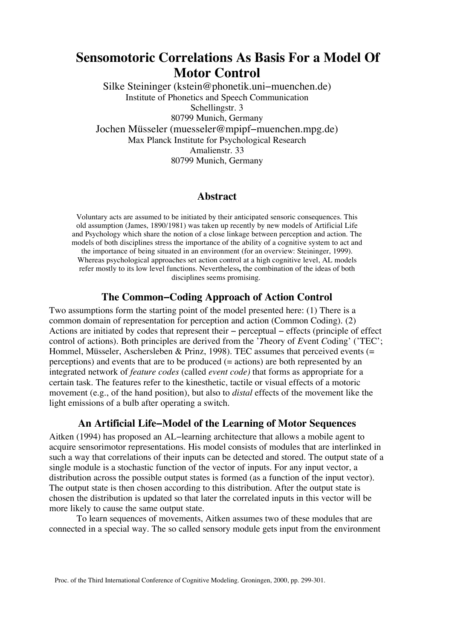# **Sensomotoric Correlations As Basis For a Model Of Motor Control**

Silke Steininger (kstein@phonetik.uni−muenchen.de) Institute of Phonetics and Speech Communication Schellingstr. 3 80799 Munich, Germany Jochen Müsseler (muesseler@mpipf−muenchen.mpg.de) Max Planck Institute for Psychological Research Amalienstr. 33 80799 Munich, Germany

# **Abstract**

Voluntary acts are assumed to be initiated by their anticipated sensoric consequences. This old assumption (James, 1890/1981) was taken up recently by new models of Artificial Life and Psychology which share the notion of a close linkage between perception and action. The models of both disciplines stress the importance of the ability of a cognitive system to act and the importance of being situated in an environment (for an overview: Steininger, 1999). Whereas psychological approaches set action control at a high cognitive level, AL models refer mostly to its low level functions. Nevertheless**,** the combination of the ideas of both disciplines seems promising.

# **The Common−Coding Approach of Action Control**

Two assumptions form the starting point of the model presented here: (1) There is a common domain of representation for perception and action (Common Coding). (2) Actions are initiated by codes that represent their − perceptual − effects (principle of effect control of actions). Both principles are derived from the '*T*heory of *E*vent *C*oding' ('TEC'; Hommel, Müsseler, Aschersleben & Prinz, 1998). TEC assumes that perceived events  $(=$ perceptions) and events that are to be produced (= actions) are both represented by an integrated network of *feature codes* (called *event code)* that forms as appropriate for a certain task. The features refer to the kinesthetic, tactile or visual effects of a motoric movement (e.g., of the hand position), but also to *distal* effects of the movement like the light emissions of a bulb after operating a switch.

# **An Artificial Life−Model of the Learning of Motor Sequences**

Aitken (1994) has proposed an AL−learning architecture that allows a mobile agent to acquire sensorimotor representations. His model consists of modules that are interlinked in such a way that correlations of their inputs can be detected and stored. The output state of a single module is a stochastic function of the vector of inputs. For any input vector, a distribution across the possible output states is formed (as a function of the input vector). The output state is then chosen according to this distribution. After the output state is chosen the distribution is updated so that later the correlated inputs in this vector will be more likely to cause the same output state.

To learn sequences of movements, Aitken assumes two of these modules that are connected in a special way. The so called sensory module gets input from the environment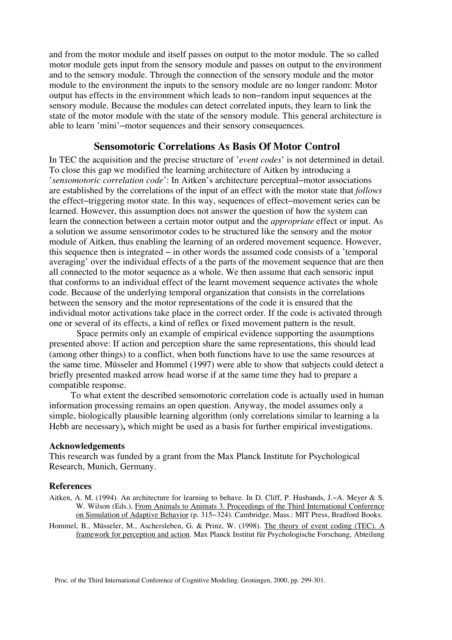and from the motor module and itself passes on output to the motor module. The so called motor module gets input from the sensory module and passes on output to the environment and to the sensory module. Through the connection of the sensory module and the motor module to the environment the inputs to the sensory module are no longer random: Motor output has effects in the environment which leads to non−random input sequences at the sensory module. Because the modules can detect correlated inputs, they learn to link the state of the motor module with the state of the sensory module. This general architecture is able to learn 'mini'−motor sequences and their sensory consequences.

## **Sensomotoric Correlations As Basis Of Motor Control**

In TEC the acquisition and the precise structure of '*event codes*' is not determined in detail. To close this gap we modified the learning architecture of Aitken by introducing a '*sensomotoric correlation code*': In Aitken's architecture perceptual−motor associations are established by the correlations of the input of an effect with the motor state that *follows* the effect−triggering motor state. In this way, sequences of effect−movement series can be learned. However, this assumption does not answer the question of how the system can learn the connection between a certain motor output and the *appropriate* effect or input. As a solution we assume sensorimotor codes to be structured like the sensory and the motor module of Aitken, thus enabling the learning of an ordered movement sequence. However, this sequence then is integrated − in other words the assumed code consists of a 'temporal averaging' over the individual effects of a the parts of the movement sequence that are then all connected to the motor sequence as a whole. We then assume that each sensoric input that conforms to an individual effect of the learnt movement sequence activates the whole code. Because of the underlying temporal organization that consists in the correlations between the sensory and the motor representations of the code it is ensured that the individual motor activations take place in the correct order. If the code is activated through one or several of its effects, a kind of reflex or fixed movement pattern is the result.

Space permits only an example of empirical evidence supporting the assumptions presented above: If action and perception share the same representations, this should lead (among other things) to a conflict, when both functions have to use the same resources at the same time. Müsseler and Hommel (1997) were able to show that subjects could detect a briefly presented masked arrow head worse if at the same time they had to prepare a compatible response.

To what extent the described sensomotoric correlation code is actually used in human information processing remains an open question. Anyway, the model assumes only a simple, biologically plausible learning algorithm (only correlations similar to learning a la Hebb are necessary)**,** which might be used as a basis for further empirical investigations.

### **Acknowledgements**

This research was funded by a grant from the Max Planck Institute for Psychological Research, Munich, Germany.

### **References**

- Aitken, A. M. (1994). An architecture for learning to behave. In D. Cliff, P. Husbands, J.−A. Meyer & S. W. Wilson (Eds.), From Animals to Animats 3. Proceedings of the Third International Conference on Simulation of Adaptive Behavior (p. 315−324). Cambridge, Mass.: MIT Press, Bradford Books.
- Hommel, B., Müsseler, M., Aschersleben, G. & Prinz, W. (1998). The theory of event coding (TEC). A framework for perception and action. Max Planck Institut für Psychologische Forschung, Abteilung

Proc. of the Third International Conference of Cognitive Modeling. Groningen, 2000, pp. 299-301.